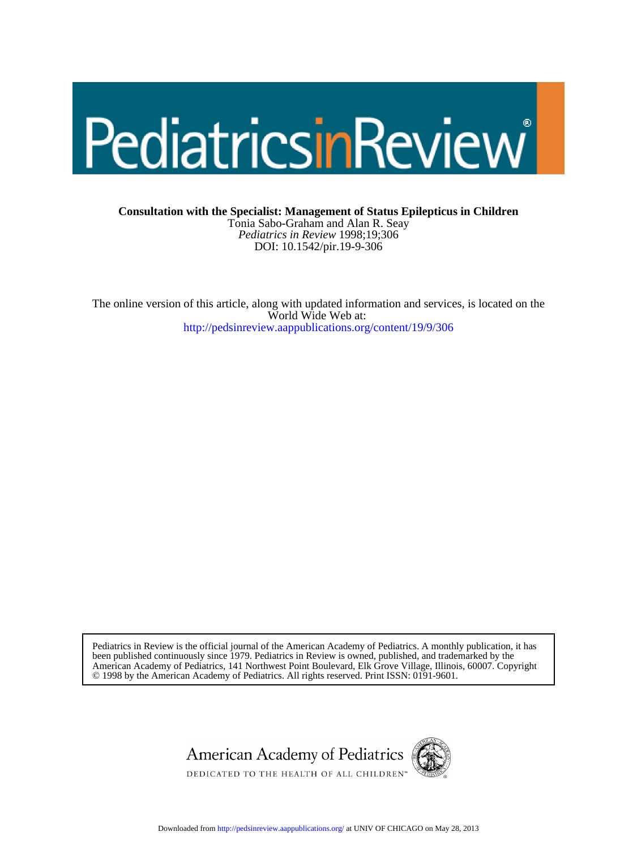# PediatricsinReview

DOI: 10.1542/pir.19-9-306 *Pediatrics in Review* 1998;19;306 Tonia Sabo-Graham and Alan R. Seay **Consultation with the Specialist: Management of Status Epilepticus in Children**

<http://pedsinreview.aappublications.org/content/19/9/306> World Wide Web at: The online version of this article, along with updated information and services, is located on the

© 1998 by the American Academy of Pediatrics. All rights reserved. Print ISSN: 0191-9601. American Academy of Pediatrics, 141 Northwest Point Boulevard, Elk Grove Village, Illinois, 60007. Copyright been published continuously since 1979. Pediatrics in Review is owned, published, and trademarked by the Pediatrics in Review is the official journal of the American Academy of Pediatrics. A monthly publication, it has



Downloaded from<http://pedsinreview.aappublications.org/>at UNIV OF CHICAGO on May 28, 2013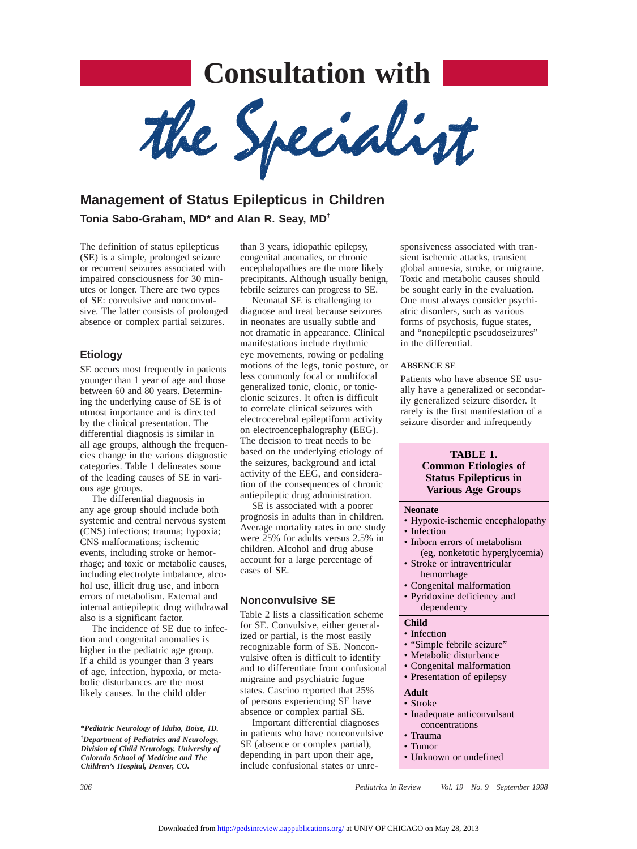# **Consultation with**

the Specialist

# **Management of Status Epilepticus in Children Tonia Sabo-Graham, MD\* and Alan R. Seay, MD†**

The definition of status epilepticus (SE) is a simple, prolonged seizure or recurrent seizures associated with impaired consciousness for 30 minutes or longer. There are two types of SE: convulsive and nonconvulsive. The latter consists of prolonged absence or complex partial seizures.

#### **Etiology**

SE occurs most frequently in patients younger than 1 year of age and those between 60 and 80 years. Determining the underlying cause of SE is of utmost importance and is directed by the clinical presentation. The differential diagnosis is similar in all age groups, although the frequencies change in the various diagnostic categories. Table 1 delineates some of the leading causes of SE in various age groups.

The differential diagnosis in any age group should include both systemic and central nervous system (CNS) infections; trauma; hypoxia; CNS malformations; ischemic events, including stroke or hemorrhage; and toxic or metabolic causes, including electrolyte imbalance, alcohol use, illicit drug use, and inborn errors of metabolism. External and internal antiepileptic drug withdrawal also is a significant factor.

The incidence of SE due to infection and congenital anomalies is higher in the pediatric age group. If a child is younger than 3 years of age, infection, hypoxia, or metabolic disturbances are the most likely causes. In the child older

than 3 years, idiopathic epilepsy, congenital anomalies, or chronic encephalopathies are the more likely precipitants. Although usually benign, febrile seizures can progress to SE.

Neonatal SE is challenging to diagnose and treat because seizures in neonates are usually subtle and not dramatic in appearance. Clinical manifestations include rhythmic eye movements, rowing or pedaling motions of the legs, tonic posture, or less commonly focal or multifocal generalized tonic, clonic, or tonicclonic seizures. It often is difficult to correlate clinical seizures with electrocerebral epileptiform activity on electroencephalography (EEG). The decision to treat needs to be based on the underlying etiology of the seizures, background and ictal activity of the EEG, and consideration of the consequences of chronic antiepileptic drug administration.

SE is associated with a poorer prognosis in adults than in children. Average mortality rates in one study were 25% for adults versus 2.5% in children. Alcohol and drug abuse account for a large percentage of cases of SE.

#### **Nonconvulsive SE**

Table 2 lists a classification scheme for SE. Convulsive, either generalized or partial, is the most easily recognizable form of SE. Nonconvulsive often is difficult to identify and to differentiate from confusional migraine and psychiatric fugue states. Cascino reported that 25% of persons experiencing SE have absence or complex partial SE.

Important differential diagnoses in patients who have nonconvulsive SE (absence or complex partial), depending in part upon their age, include confusional states or unre-

sponsiveness associated with transient ischemic attacks, transient global amnesia, stroke, or migraine. Toxic and metabolic causes should be sought early in the evaluation. One must always consider psychiatric disorders, such as various forms of psychosis, fugue states, and "nonepileptic pseudoseizures" in the differential.

#### **ABSENCE SE**

Patients who have absence SE usually have a generalized or secondarily generalized seizure disorder. It rarely is the first manifestation of a seizure disorder and infrequently

#### **TABLE 1.**

#### **Common Etiologies of Status Epilepticus in Various Age Groups**

#### **Neonate**

- Hypoxic-ischemic encephalopathy
- Infection
- Inborn errors of metabolism (eg, nonketotic hyperglycemia)
- Stroke or intraventricular hemorrhage
- Congenital malformation
- Pyridoxine deficiency and dependency

# **Child**

- Infection
- "Simple febrile seizure"
- Metabolic disturbance
- Congenital malformation
- Presentation of epilepsy

#### **Adult**

- Stroke
- Inadequate anticonvulsant
- concentrations
- Trauma
- Tumor
- Unknown or undefined

*306 Pediatrics in Review Vol. 19 No. 9 September 1998*

**<sup>\*</sup>***Pediatric Neurology of Idaho, Boise, ID.* **†** *Department of Pediatrics and Neurology, Division of Child Neurology, University of Colorado School of Medicine and The Children's Hospital, Denver, CO.*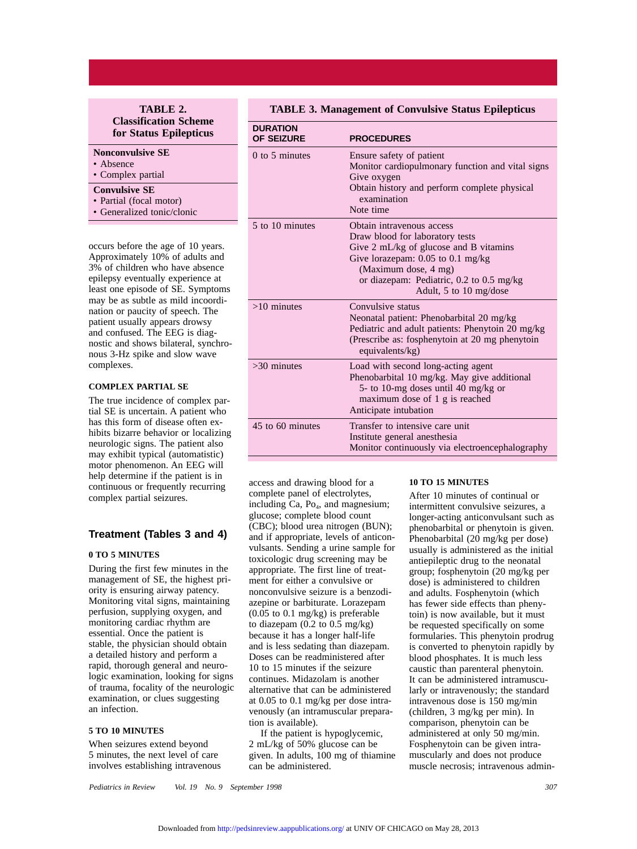#### **TABLE 2. Classification Scheme for Status Epilepticus**

#### **Nonconvulsive SE**

- Absence
- Complex partial

#### **Convulsive SE**

- Partial (focal motor)
- Generalized tonic/clonic

occurs before the age of 10 years. Approximately 10% of adults and 3% of children who have absence epilepsy eventually experience at least one episode of SE. Symptoms may be as subtle as mild incoordination or paucity of speech. The patient usually appears drowsy and confused. The EEG is diagnostic and shows bilateral, synchronous 3-Hz spike and slow wave complexes.

#### **COMPLEX PARTIAL SE**

The true incidence of complex partial SE is uncertain. A patient who has this form of disease often exhibits bizarre behavior or localizing neurologic signs. The patient also may exhibit typical (automatistic) motor phenomenon. An EEG will help determine if the patient is in continuous or frequently recurring complex partial seizures.

#### **Treatment (Tables 3 and 4)**

#### **0 TO 5 MINUTES**

During the first few minutes in the management of SE, the highest priority is ensuring airway patency. Monitoring vital signs, maintaining perfusion, supplying oxygen, and monitoring cardiac rhythm are essential. Once the patient is stable, the physician should obtain a detailed history and perform a rapid, thorough general and neurologic examination, looking for signs of trauma, focality of the neurologic examination, or clues suggesting an infection.

#### **5 TO 10 MINUTES**

When seizures extend beyond 5 minutes, the next level of care involves establishing intravenous

#### **TABLE 3. Management of Convulsive Status Epilepticus**

| <b>DURATION</b><br><b>OF SEIZURE</b> | <b>PROCEDURES</b>                                                                                                                                                                                                                         |
|--------------------------------------|-------------------------------------------------------------------------------------------------------------------------------------------------------------------------------------------------------------------------------------------|
| $0$ to 5 minutes                     | Ensure safety of patient<br>Monitor cardiopulmonary function and vital signs<br>Give oxygen<br>Obtain history and perform complete physical<br>examination<br>Note time                                                                   |
| 5 to 10 minutes                      | Obtain intravenous access<br>Draw blood for laboratory tests<br>Give 2 mL/kg of glucose and B vitamins<br>Give lorazepam: 0.05 to 0.1 mg/kg<br>(Maximum dose, 4 mg)<br>or diazepam: Pediatric, 0.2 to 0.5 mg/kg<br>Adult, 5 to 10 mg/dose |
| $>10$ minutes                        | Convulsive status<br>Neonatal patient: Phenobarbital 20 mg/kg<br>Pediatric and adult patients: Phenytoin 20 mg/kg<br>(Prescribe as: fosphenytoin at 20 mg phenytoin<br>equivalents/kg)                                                    |
| $>30$ minutes                        | Load with second long-acting agent<br>Phenobarbital 10 mg/kg. May give additional<br>5- to 10-mg doses until 40 mg/kg or<br>maximum dose of 1 g is reached<br>Anticipate intubation                                                       |
| 45 to 60 minutes                     | Transfer to intensive care unit<br>Institute general anesthesia<br>Monitor continuously via electroencephalography                                                                                                                        |

access and drawing blood for a complete panel of electrolytes, including Ca,  $Po_4$ , and magnesium; glucose; complete blood count (CBC); blood urea nitrogen (BUN); and if appropriate, levels of anticonvulsants. Sending a urine sample for toxicologic drug screening may be appropriate. The first line of treatment for either a convulsive or nonconvulsive seizure is a benzodiazepine or barbiturate. Lorazepam (0.05 to 0.1 mg/kg) is preferable to diazepam (0.2 to 0.5 mg/kg) because it has a longer half-life and is less sedating than diazepam. Doses can be readministered after 10 to 15 minutes if the seizure continues. Midazolam is another alternative that can be administered at 0.05 to 0.1 mg/kg per dose intravenously (an intramuscular preparation is available).

If the patient is hypoglycemic, 2 mL/kg of 50% glucose can be given. In adults, 100 mg of thiamine can be administered.

#### **10 TO 15 MINUTES**

After 10 minutes of continual or intermittent convulsive seizures, a longer-acting anticonvulsant such as phenobarbital or phenytoin is given. Phenobarbital (20 mg/kg per dose) usually is administered as the initial antiepileptic drug to the neonatal group; fosphenytoin (20 mg/kg per dose) is administered to children and adults. Fosphenytoin (which has fewer side effects than phenytoin) is now available, but it must be requested specifically on some formularies. This phenytoin prodrug is converted to phenytoin rapidly by blood phosphates. It is much less caustic than parenteral phenytoin. It can be administered intramuscularly or intravenously; the standard intravenous dose is 150 mg/min (children, 3 mg/kg per min). In comparison, phenytoin can be administered at only 50 mg/min. Fosphenytoin can be given intramuscularly and does not produce muscle necrosis; intravenous admin-

*Pediatrics in Review Vol. 19 No. 9 September 1998 307*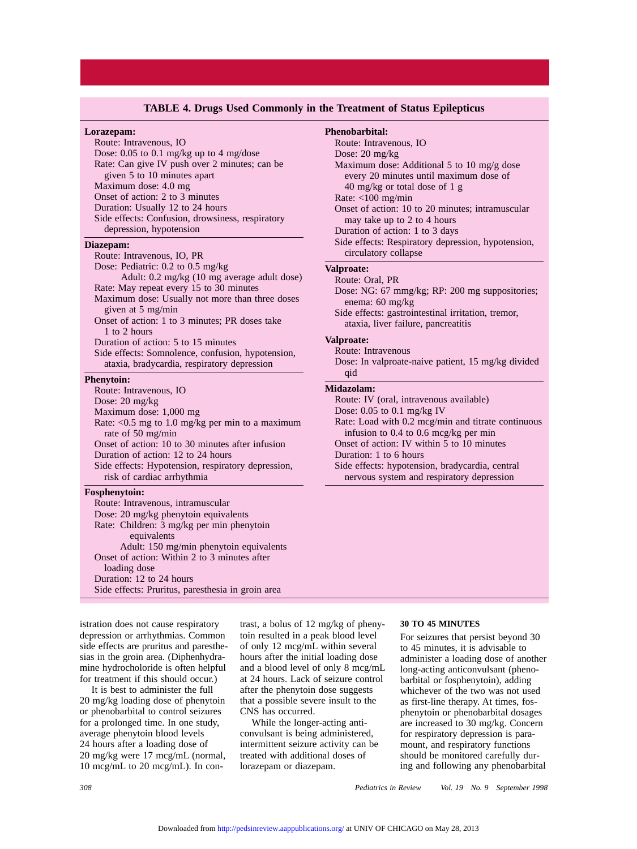#### **TABLE 4. Drugs Used Commonly in the Treatment of Status Epilepticus**

#### **Lorazepam:**

Route: Intravenous, IO Dose: 0.05 to 0.1 mg/kg up to 4 mg/dose Rate: Can give IV push over 2 minutes; can be given 5 to 10 minutes apart Maximum dose: 4.0 mg Onset of action: 2 to 3 minutes Duration: Usually 12 to 24 hours Side effects: Confusion, drowsiness, respiratory depression, hypotension

#### **Diazepam:**

Route: Intravenous, IO, PR Dose: Pediatric: 0.2 to 0.5 mg/kg Adult: 0.2 mg/kg (10 mg average adult dose) Rate: May repeat every 15 to 30 minutes Maximum dose: Usually not more than three doses given at 5 mg/min Onset of action: 1 to 3 minutes; PR doses take 1 to 2 hours Duration of action: 5 to 15 minutes Side effects: Somnolence, confusion, hypotension, ataxia, bradycardia, respiratory depression **Phenytoin:**

#### Route: Intravenous, IO Dose: 20 mg/kg Maximum dose: 1,000 mg Rate: <0.5 mg to 1.0 mg/kg per min to a maximum rate of 50 mg/min Onset of action: 10 to 30 minutes after infusion Duration of action: 12 to 24 hours Side effects: Hypotension, respiratory depression, risk of cardiac arrhythmia

#### **Fosphenytoin:**

Route: Intravenous, intramuscular Dose: 20 mg/kg phenytoin equivalents Rate: Children: 3 mg/kg per min phenytoin equivalents Adult: 150 mg/min phenytoin equivalents Onset of action: Within 2 to 3 minutes after loading dose Duration: 12 to 24 hours Side effects: Pruritus, paresthesia in groin area

**Phenobarbital:** Route: Intravenous, IO Dose: 20 mg/kg Maximum dose: Additional 5 to 10 mg/g dose every 20 minutes until maximum dose of 40 mg/kg or total dose of 1 g Rate: <100 mg/min Onset of action: 10 to 20 minutes; intramuscular may take up to 2 to 4 hours Duration of action: 1 to 3 days Side effects: Respiratory depression, hypotension, circulatory collapse **Valproate:** Route: Oral, PR Dose: NG: 67 mmg/kg; RP: 200 mg suppositories; enema: 60 mg/kg Side effects: gastrointestinal irritation, tremor, ataxia, liver failure, pancreatitis **Valproate:** Route: Intravenous Dose: In valproate-naive patient, 15 mg/kg divided qid **Midazolam:** Route: IV (oral, intravenous available) Dose: 0.05 to 0.1 mg/kg IV Rate: Load with 0.2 mcg/min and titrate continuous infusion to 0.4 to 0.6 mcg/kg per min Onset of action: IV within 5 to 10 minutes Duration: 1 to 6 hours Side effects: hypotension, bradycardia, central nervous system and respiratory depression

istration does not cause respiratory depression or arrhythmias. Common side effects are pruritus and paresthesias in the groin area. (Diphenhydramine hydrocholoride is often helpful for treatment if this should occur.)

It is best to administer the full 20 mg/kg loading dose of phenytoin or phenobarbital to control seizures for a prolonged time. In one study, average phenytoin blood levels 24 hours after a loading dose of 20 mg/kg were 17 mcg/mL (normal, 10 mcg/mL to 20 mcg/mL). In contrast, a bolus of 12 mg/kg of phenytoin resulted in a peak blood level of only 12 mcg/mL within several hours after the initial loading dose and a blood level of only 8 mcg/mL at 24 hours. Lack of seizure control after the phenytoin dose suggests that a possible severe insult to the CNS has occurred.

While the longer-acting anticonvulsant is being administered, intermittent seizure activity can be treated with additional doses of lorazepam or diazepam.

#### **30 TO 45 MINUTES**

For seizures that persist beyond 30 to 45 minutes, it is advisable to administer a loading dose of another long-acting anticonvulsant (phenobarbital or fosphenytoin), adding whichever of the two was not used as first-line therapy. At times, fosphenytoin or phenobarbital dosages are increased to 30 mg/kg. Concern for respiratory depression is paramount, and respiratory functions should be monitored carefully during and following any phenobarbital

*308 Pediatrics in Review Vol. 19 No. 9 September 1998*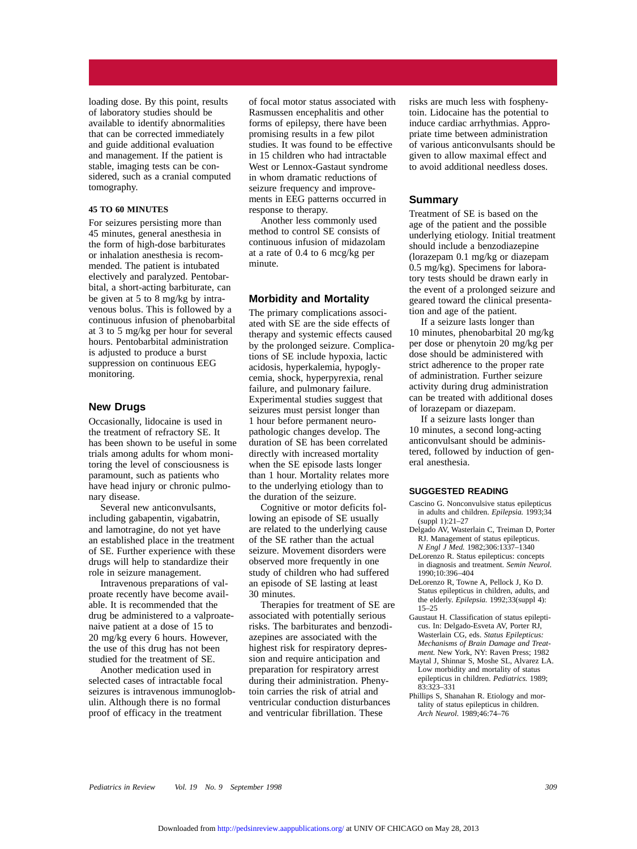loading dose. By this point, results of laboratory studies should be available to identify abnormalities that can be corrected immediately and guide additional evaluation and management. If the patient is stable, imaging tests can be considered, such as a cranial computed tomography.

#### **45 TO 60 MINUTES**

For seizures persisting more than 45 minutes, general anesthesia in the form of high-dose barbiturates or inhalation anesthesia is recommended. The patient is intubated electively and paralyzed. Pentobarbital, a short-acting barbiturate, can be given at 5 to 8 mg/kg by intravenous bolus. This is followed by a continuous infusion of phenobarbital at 3 to 5 mg/kg per hour for several hours. Pentobarbital administration is adjusted to produce a burst suppression on continuous EEG monitoring.

#### **New Drugs**

Occasionally, lidocaine is used in the treatment of refractory SE. It has been shown to be useful in some trials among adults for whom monitoring the level of consciousness is paramount, such as patients who have head injury or chronic pulmonary disease.

Several new anticonvulsants, including gabapentin, vigabatrin, and lamotragine, do not yet have an established place in the treatment of SE. Further experience with these drugs will help to standardize their role in seizure management.

Intravenous preparations of valproate recently have become available. It is recommended that the drug be administered to a valproatenaive patient at a dose of 15 to 20 mg/kg every 6 hours. However, the use of this drug has not been studied for the treatment of SE.

Another medication used in selected cases of intractable focal seizures is intravenous immunoglobulin. Although there is no formal proof of efficacy in the treatment

of focal motor status associated with Rasmussen encephalitis and other forms of epilepsy, there have been promising results in a few pilot studies. It was found to be effective in 15 children who had intractable West or Lennox-Gastaut syndrome in whom dramatic reductions of seizure frequency and improvements in EEG patterns occurred in response to therapy.

Another less commonly used method to control SE consists of continuous infusion of midazolam at a rate of 0.4 to 6 mcg/kg per minute.

#### **Morbidity and Mortality**

The primary complications associated with SE are the side effects of therapy and systemic effects caused by the prolonged seizure. Complications of SE include hypoxia, lactic acidosis, hyperkalemia, hypoglycemia, shock, hyperpyrexia, renal failure, and pulmonary failure. Experimental studies suggest that seizures must persist longer than 1 hour before permanent neuropathologic changes develop. The duration of SE has been correlated directly with increased mortality when the SE episode lasts longer than 1 hour. Mortality relates more to the underlying etiology than to the duration of the seizure.

Cognitive or motor deficits following an episode of SE usually are related to the underlying cause of the SE rather than the actual seizure. Movement disorders were observed more frequently in one study of children who had suffered an episode of SE lasting at least 30 minutes.

Therapies for treatment of SE are associated with potentially serious risks. The barbiturates and benzodiazepines are associated with the highest risk for respiratory depression and require anticipation and preparation for respiratory arrest during their administration. Phenytoin carries the risk of atrial and ventricular conduction disturbances and ventricular fibrillation. These

risks are much less with fosphenytoin. Lidocaine has the potential to induce cardiac arrhythmias. Appropriate time between administration of various anticonvulsants should be given to allow maximal effect and to avoid additional needless doses.

#### **Summary**

Treatment of SE is based on the age of the patient and the possible underlying etiology. Initial treatment should include a benzodiazepine (lorazepam 0.1 mg/kg or diazepam 0.5 mg/kg). Specimens for laboratory tests should be drawn early in the event of a prolonged seizure and geared toward the clinical presentation and age of the patient.

If a seizure lasts longer than 10 minutes, phenobarbital 20 mg/kg per dose or phenytoin 20 mg/kg per dose should be administered with strict adherence to the proper rate of administration. Further seizure activity during drug administration can be treated with additional doses of lorazepam or diazepam.

If a seizure lasts longer than 10 minutes, a second long-acting anticonvulsant should be administered, followed by induction of general anesthesia.

#### **SUGGESTED READING**

- Cascino G. Nonconvulsive status epilepticus in adults and children. *Epilepsia.* 1993;34 (suppl 1):21–27
- Delgado AV, Wasterlain C, Treiman D, Porter RJ. Management of status epilepticus. *N Engl J Med.* 1982;306:1337–1340
- DeLorenzo R. Status epilepticus: concepts in diagnosis and treatment. *Semin Neurol.* 1990;10:396–404
- DeLorenzo R, Towne A, Pellock J, Ko D. Status epilepticus in children, adults, and the elderly. *Epilepsia.* 1992;33(suppl 4): 15–25
- Gaustaut H. Classification of status epilepticus. In: Delgado-Esveta AV, Porter RJ, Wasterlain CG, eds. *Status Epilepticus: Mechanisms of Brain Damage and Treatment.* New York, NY: Raven Press; 1982
- Maytal J, Shinnar S, Moshe SL, Alvarez LA. Low morbidity and mortality of status epilepticus in children. *Pediatrics.* 1989; 83:323–331
- Phillips S, Shanahan R. Etiology and mortality of status epilepticus in children. *Arch Neurol.* 1989;46:74–76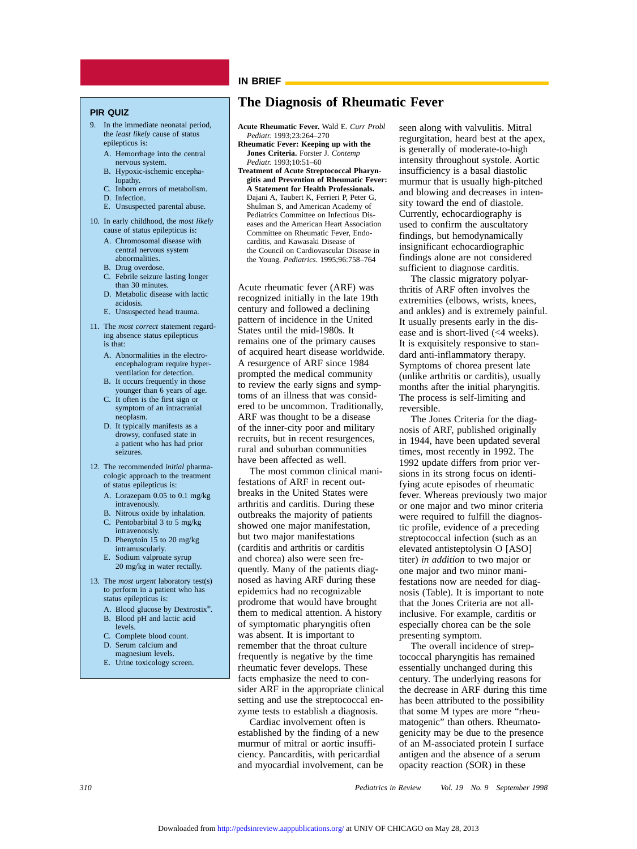#### **IN BRIEF**

#### **PIR QUIZ**

- 9. In the immediate neonatal period, the *least likely* cause of status epilepticus is:
	- A. Hemorrhage into the central nervous system.
	- B. Hypoxic-ischemic encephalopathy.
	- C. Inborn errors of metabolism.
	- D. Infection.
	- E. Unsuspected parental abuse.
- 10. In early childhood, the *most likely* cause of status epilepticus is:
	- A. Chromosomal disease with central nervous system abnormalities.
	- B. Drug overdose.
	- Febrile seizure lasting longer than 30 minutes.
	- D. Metabolic disease with lactic acidosis.
	- E. Unsuspected head trauma.
- 11. The *most correct* statement regarding absence status epilepticus is that:
	- A. Abnormalities in the electroencephalogram require hyperventilation for detection.
	- B. It occurs frequently in those younger than 6 years of age.
	- C. It often is the first sign or symptom of an intracranial neoplasm.
	- D. It typically manifests as a drowsy, confused state in a patient who has had prior seizures.
- 12. The recommended *initial* pharmacologic approach to the treatment of status epilepticus is:
	- A. Lorazepam 0.05 to 0.1 mg/kg intravenously.
	- B. Nitrous oxide by inhalation. C. Pentobarbital 3 to 5 mg/kg
	- intravenously. D. Phenytoin 15 to 20 mg/kg
	- intramuscularly. E. Sodium valproate syrup 20 mg/kg in water rectally.
- 13. The *most urgent* laboratory test(s) to perform in a patient who has status epilepticus is:
	- A. Blood glucose by Dextrostix®. B. Blood pH and lactic acid
	- levels.
	- C. Complete blood count.
	- D. Serum calcium and magnesium levels.
	- E. Urine toxicology screen.

### **The Diagnosis of Rheumatic Fever**

- **Acute Rheumatic Fever.** Wald E. *Curr Probl Pediatr.* 1993;23:264–270
- **Rheumatic Fever: Keeping up with the Jones Criteria.** Forster J. *Contemp Pediatr.* 1993;10:51–60
- **Treatment of Acute Streptococcal Pharyngitis and Prevention of Rheumatic Fever: A Statement for Health Professionals.** Dajani A, Taubert K, Ferrieri P, Peter G, Shulman S, and American Academy of Pediatrics Committee on Infectious Diseases and the American Heart Association Committee on Rheumatic Fever, Endocarditis, and Kawasaki Disease of the Council on Cardiovascular Disease in the Young. *Pediatrics.* 1995;96:758–764

Acute rheumatic fever (ARF) was recognized initially in the late 19th century and followed a declining pattern of incidence in the United States until the mid-1980s. It remains one of the primary causes of acquired heart disease worldwide. A resurgence of ARF since 1984 prompted the medical community to review the early signs and symptoms of an illness that was considered to be uncommon. Traditionally, ARF was thought to be a disease of the inner-city poor and military recruits, but in recent resurgences, rural and suburban communities have been affected as well.

The most common clinical manifestations of ARF in recent outbreaks in the United States were arthritis and carditis. During these outbreaks the majority of patients showed one major manifestation, but two major manifestations (carditis and arthritis or carditis and chorea) also were seen frequently. Many of the patients diagnosed as having ARF during these epidemics had no recognizable prodrome that would have brought them to medical attention. A history of symptomatic pharyngitis often was absent. It is important to remember that the throat culture frequently is negative by the time rheumatic fever develops. These facts emphasize the need to consider ARF in the appropriate clinical setting and use the streptococcal enzyme tests to establish a diagnosis.

Cardiac involvement often is established by the finding of a new murmur of mitral or aortic insufficiency. Pancarditis, with pericardial and myocardial involvement, can be seen along with valvulitis. Mitral regurgitation, heard best at the apex, is generally of moderate-to-high intensity throughout systole. Aortic insufficiency is a basal diastolic murmur that is usually high-pitched and blowing and decreases in intensity toward the end of diastole. Currently, echocardiography is used to confirm the auscultatory findings, but hemodynamically insignificant echocardiographic findings alone are not considered sufficient to diagnose carditis.

The classic migratory polyarthritis of ARF often involves the extremities (elbows, wrists, knees, and ankles) and is extremely painful. It usually presents early in the disease and is short-lived (<4 weeks). It is exquisitely responsive to standard anti-inflammatory therapy. Symptoms of chorea present late (unlike arthritis or carditis), usually months after the initial pharyngitis. The process is self-limiting and reversible.

The Jones Criteria for the diagnosis of ARF, published originally in 1944, have been updated several times, most recently in 1992. The 1992 update differs from prior versions in its strong focus on identifying acute episodes of rheumatic fever. Whereas previously two major or one major and two minor criteria were required to fulfill the diagnostic profile, evidence of a preceding streptococcal infection (such as an elevated antisteptolysin O [ASO] titer) *in addition* to two major or one major and two minor manifestations now are needed for diagnosis (Table). It is important to note that the Jones Criteria are not allinclusive. For example, carditis or especially chorea can be the sole presenting symptom.

The overall incidence of streptococcal pharyngitis has remained essentially unchanged during this century. The underlying reasons for the decrease in ARF during this time has been attributed to the possibility that some M types are more "rheumatogenic" than others. Rheumatogenicity may be due to the presence of an M-associated protein I surface antigen and the absence of a serum opacity reaction (SOR) in these

*310 Pediatrics in Review Vol. 19 No. 9 September 1998*